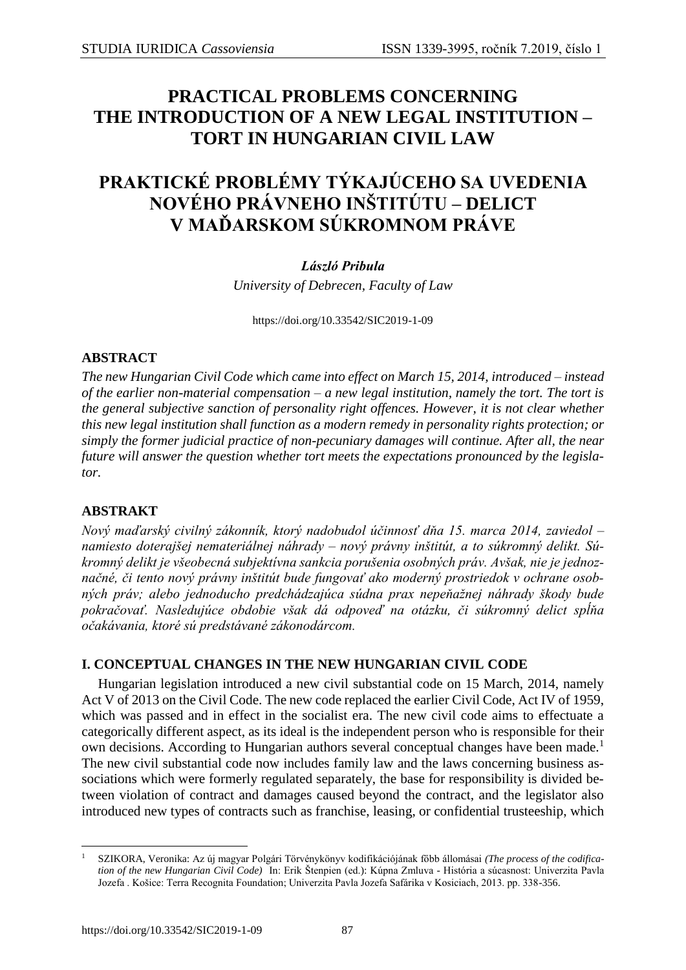## **PRACTICAL PROBLEMS CONCERNING THE INTRODUCTION OF A NEW LEGAL INSTITUTION – TORT IN HUNGARIAN CIVIL LAW**

# **PRAKTICKÉ PROBLÉMY TÝKAJÚCEHO SA UVEDENIA NOVÉHO PRÁVNEHO INŠTITÚTU – DELICT V MAĎARSKOM SÚKROMNOM PRÁVE**

#### *László Pribula*

*University of Debrecen, Faculty of Law*

<https://doi.org/10.33542/SIC2019-1-09>

#### **ABSTRACT**

*The new Hungarian Civil Code which came into effect on March 15, 2014, introduced – instead of the earlier non-material compensation – a new legal institution, namely the tort. The tort is the general subjective sanction of personality right offences. However, it is not clear whether this new legal institution shall function as a modern remedy in personality rights protection; or simply the former judicial practice of non-pecuniary damages will continue. After all, the near future will answer the question whether tort meets the expectations pronounced by the legislator.*

#### **ABSTRAKT**

*Nový maďarský civilný zákonník, ktorý nadobudol účinnosť dňa 15. marca 2014, zaviedol – namiesto doterajšej nemateriálnej náhrady – nový právny inštitút, a to súkromný delikt. Súkromný delikt je všeobecná subjektívna sankcia porušenia osobných práv. Avšak, nie je jednoznačné, či tento nový právny inštitút bude fungovať ako moderný prostriedok v ochrane osobných práv; alebo jednoducho predchádzajúca súdna prax nepeňažnej náhrady škody bude pokračovať. Nasledujúce obdobie však dá odpoveď na otázku, či súkromný delict spĺňa očakávania, ktoré sú predstávané zákonodárcom.* 

## **I. CONCEPTUAL CHANGES IN THE NEW HUNGARIAN CIVIL CODE**

Hungarian legislation introduced a new civil substantial code on 15 March, 2014, namely Act V of 2013 on the Civil Code. The new code replaced the earlier Civil Code, Act IV of 1959, which was passed and in effect in the socialist era. The new civil code aims to effectuate a categorically different aspect, as its ideal is the independent person who is responsible for their own decisions. According to Hungarian authors several conceptual changes have been made.<sup>1</sup> The new civil substantial code now includes family law and the laws concerning business associations which were formerly regulated separately, the base for responsibility is divided between violation of contract and damages caused beyond the contract, and the legislator also introduced new types of contracts such as franchise, leasing, or confidential trusteeship, which

 $\overline{\phantom{a}}$ <sup>1</sup> SZIKORA, Veronika: Az új magyar Polgári Törvénykönyv kodifikációjának főbb állomásai *(The process of the codification of the new Hungarian Civil Code)* In: Erik Štenpien (ed.): Kúpna Zmluva - História a súcasnost: Univerzita Pavla Jozefa . Košice: Terra Recognita Foundation; Univerzita Pavla Jozefa Safárika v Kosiciach, 2013. pp. 338-356.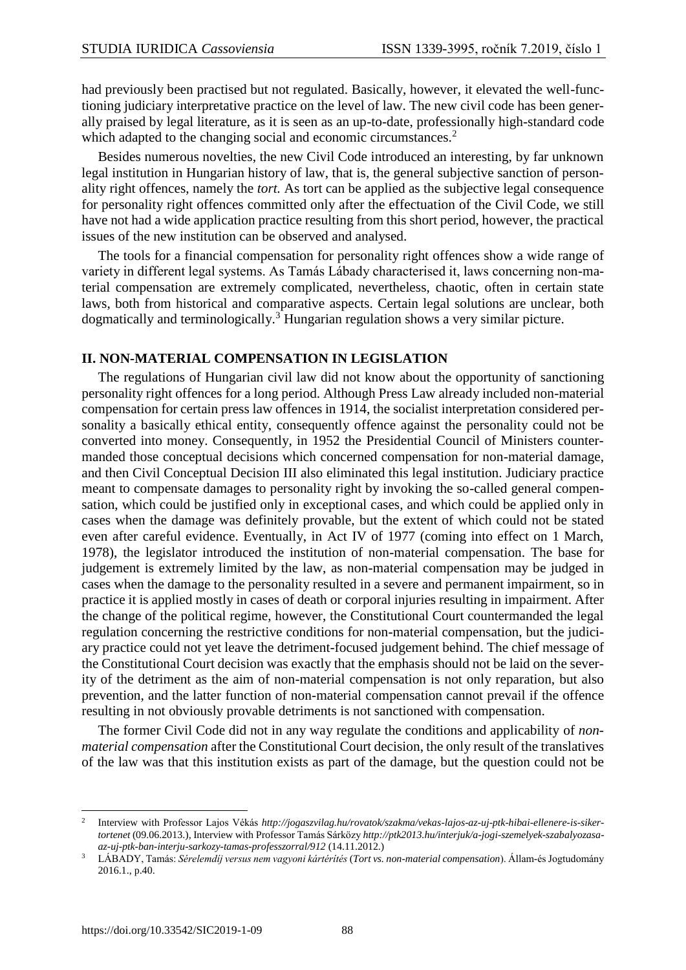had previously been practised but not regulated. Basically, however, it elevated the well-functioning judiciary interpretative practice on the level of law. The new civil code has been generally praised by legal literature, as it is seen as an up-to-date, professionally high-standard code which adapted to the changing social and economic circumstances.<sup>2</sup>

Besides numerous novelties, the new Civil Code introduced an interesting, by far unknown legal institution in Hungarian history of law, that is, the general subjective sanction of personality right offences, namely the *tort.* As tort can be applied as the subjective legal consequence for personality right offences committed only after the effectuation of the Civil Code, we still have not had a wide application practice resulting from this short period, however, the practical issues of the new institution can be observed and analysed.

The tools for a financial compensation for personality right offences show a wide range of variety in different legal systems. As Tamás Lábady characterised it, laws concerning non-material compensation are extremely complicated, nevertheless, chaotic, often in certain state laws, both from historical and comparative aspects. Certain legal solutions are unclear, both dogmatically and terminologically.<sup>3</sup> Hungarian regulation shows a very similar picture.

#### **II. NON-MATERIAL COMPENSATION IN LEGISLATION**

The regulations of Hungarian civil law did not know about the opportunity of sanctioning personality right offences for a long period. Although Press Law already included non-material compensation for certain press law offences in 1914, the socialist interpretation considered personality a basically ethical entity, consequently offence against the personality could not be converted into money. Consequently, in 1952 the Presidential Council of Ministers countermanded those conceptual decisions which concerned compensation for non-material damage, and then Civil Conceptual Decision III also eliminated this legal institution. Judiciary practice meant to compensate damages to personality right by invoking the so-called general compensation, which could be justified only in exceptional cases, and which could be applied only in cases when the damage was definitely provable, but the extent of which could not be stated even after careful evidence. Eventually, in Act IV of 1977 (coming into effect on 1 March, 1978), the legislator introduced the institution of non-material compensation. The base for judgement is extremely limited by the law, as non-material compensation may be judged in cases when the damage to the personality resulted in a severe and permanent impairment, so in practice it is applied mostly in cases of death or corporal injuries resulting in impairment. After the change of the political regime, however, the Constitutional Court countermanded the legal regulation concerning the restrictive conditions for non-material compensation, but the judiciary practice could not yet leave the detriment-focused judgement behind. The chief message of the Constitutional Court decision was exactly that the emphasis should not be laid on the severity of the detriment as the aim of non-material compensation is not only reparation, but also prevention, and the latter function of non-material compensation cannot prevail if the offence resulting in not obviously provable detriments is not sanctioned with compensation.

The former Civil Code did not in any way regulate the conditions and applicability of *nonmaterial compensation* after the Constitutional Court decision, the only result of the translatives of the law was that this institution exists as part of the damage, but the question could not be

<sup>2</sup> Interview with Professor Lajos Vékás *[http://jogaszvilag.hu/rovatok/szakma/vekas-lajos-az-uj-ptk-hibai-ellenere-is-siker](http://jogaszvilag.hu/rovatok/szakma/vekas-lajos-az-uj-ptk-hibai-ellenere-is-sikertortenet)[tortenet](http://jogaszvilag.hu/rovatok/szakma/vekas-lajos-az-uj-ptk-hibai-ellenere-is-sikertortenet)* (09.06.2013.)*,* Interview with Professor Tamás Sárközy *[http://ptk2013.hu/interjuk/a-jogi-szemelyek-szabalyozasa](http://ptk2013.hu/interjuk/a-jogi-szemelyek-szabalyozasa-az-uj-ptk-ban-interju-sarkozy-tamas-professzorral/912)[az-uj-ptk-ban-interju-sarkozy-tamas-professzorral/912](http://ptk2013.hu/interjuk/a-jogi-szemelyek-szabalyozasa-az-uj-ptk-ban-interju-sarkozy-tamas-professzorral/912)* (14.11.2012.)

<sup>3</sup> LÁBADY, Tamás: *Sérelemdíj versus nem vagyoni kártérítés* (*Tort vs. non-material compensation*). Állam-és Jogtudomány 2016.1., p.40.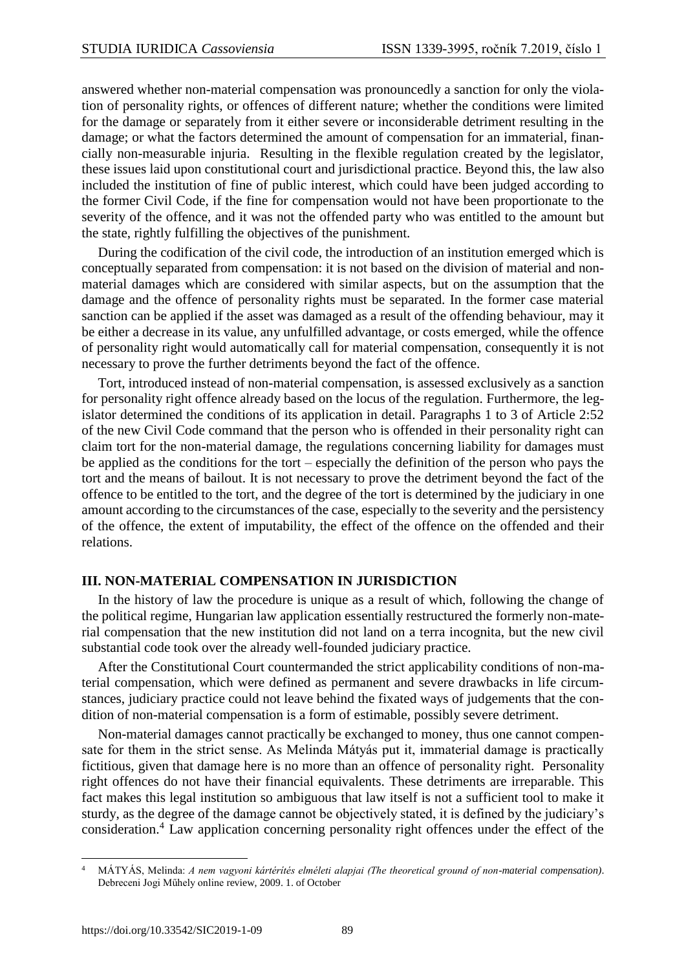answered whether non-material compensation was pronouncedly a sanction for only the violation of personality rights, or offences of different nature; whether the conditions were limited for the damage or separately from it either severe or inconsiderable detriment resulting in the damage; or what the factors determined the amount of compensation for an immaterial, financially non-measurable injuria. Resulting in the flexible regulation created by the legislator, these issues laid upon constitutional court and jurisdictional practice. Beyond this, the law also included the institution of fine of public interest, which could have been judged according to the former Civil Code, if the fine for compensation would not have been proportionate to the severity of the offence, and it was not the offended party who was entitled to the amount but the state, rightly fulfilling the objectives of the punishment.

During the codification of the civil code, the introduction of an institution emerged which is conceptually separated from compensation: it is not based on the division of material and nonmaterial damages which are considered with similar aspects, but on the assumption that the damage and the offence of personality rights must be separated. In the former case material sanction can be applied if the asset was damaged as a result of the offending behaviour, may it be either a decrease in its value, any unfulfilled advantage, or costs emerged, while the offence of personality right would automatically call for material compensation, consequently it is not necessary to prove the further detriments beyond the fact of the offence.

Tort, introduced instead of non-material compensation, is assessed exclusively as a sanction for personality right offence already based on the locus of the regulation. Furthermore, the legislator determined the conditions of its application in detail. Paragraphs 1 to 3 of Article 2:52 of the new Civil Code command that the person who is offended in their personality right can claim tort for the non-material damage, the regulations concerning liability for damages must be applied as the conditions for the tort – especially the definition of the person who pays the tort and the means of bailout. It is not necessary to prove the detriment beyond the fact of the offence to be entitled to the tort, and the degree of the tort is determined by the judiciary in one amount according to the circumstances of the case, especially to the severity and the persistency of the offence, the extent of imputability, the effect of the offence on the offended and their relations.

#### **III. NON-MATERIAL COMPENSATION IN JURISDICTION**

In the history of law the procedure is unique as a result of which, following the change of the political regime, Hungarian law application essentially restructured the formerly non-material compensation that the new institution did not land on a terra incognita, but the new civil substantial code took over the already well-founded judiciary practice.

After the Constitutional Court countermanded the strict applicability conditions of non-material compensation, which were defined as permanent and severe drawbacks in life circumstances, judiciary practice could not leave behind the fixated ways of judgements that the condition of non-material compensation is a form of estimable, possibly severe detriment.

Non-material damages cannot practically be exchanged to money, thus one cannot compensate for them in the strict sense. As Melinda Mátyás put it, immaterial damage is practically fictitious, given that damage here is no more than an offence of personality right. Personality right offences do not have their financial equivalents. These detriments are irreparable. This fact makes this legal institution so ambiguous that law itself is not a sufficient tool to make it sturdy, as the degree of the damage cannot be objectively stated, it is defined by the judiciary's consideration.<sup>4</sup> Law application concerning personality right offences under the effect of the

l <sup>4</sup> MÁTYÁS, Melinda: *A nem vagyoni kártérítés elméleti alapjai (The theoretical ground of non-material compensation)*. Debreceni Jogi Műhely online review, 2009. 1. of October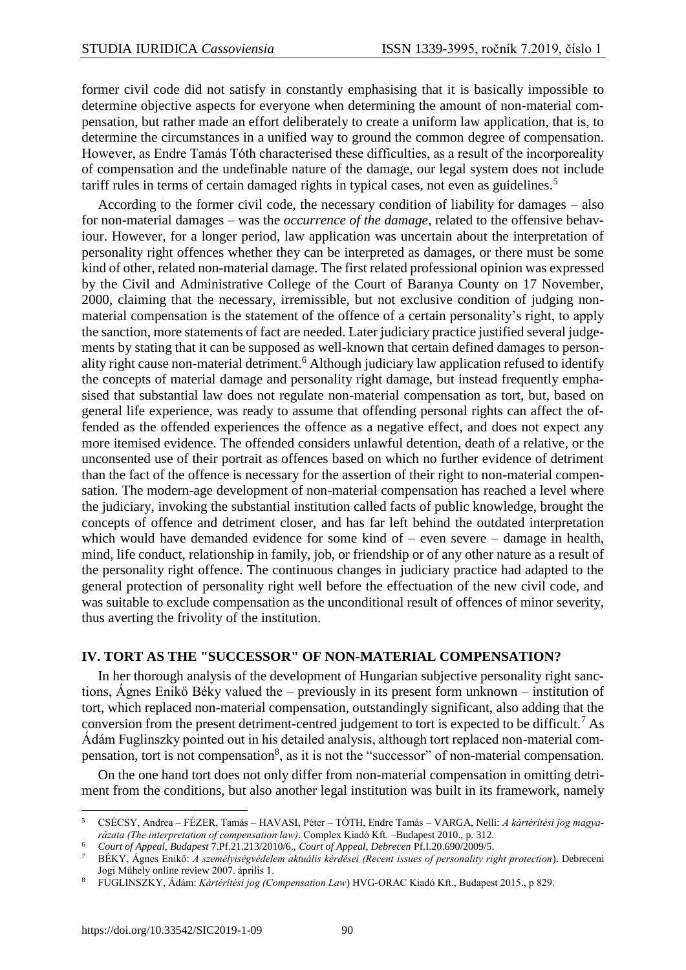former civil code did not satisfy in constantly emphasising that it is basically impossible to determine objective aspects for everyone when determining the amount of non-material compensation, but rather made an effort deliberately to create a uniform law application, that is, to determine the circumstances in a unified way to ground the common degree of compensation. However, as Endre Tamás Tóth characterised these difficulties, as a result of the incorporeality of compensation and the undefinable nature of the damage, our legal system does not include tariff rules in terms of certain damaged rights in typical cases, not even as guidelines.<sup>5</sup>

According to the former civil code, the necessary condition of liability for damages – also for non-material damages – was the *occurrence of the damage*, related to the offensive behaviour. However, for a longer period, law application was uncertain about the interpretation of personality right offences whether they can be interpreted as damages, or there must be some kind of other, related non-material damage. The first related professional opinion was expressed by the Civil and Administrative College of the Court of Baranya County on 17 November, 2000, claiming that the necessary, irremissible, but not exclusive condition of judging nonmaterial compensation is the statement of the offence of a certain personality's right, to apply the sanction, more statements of fact are needed. Later judiciary practice justified several judgements by stating that it can be supposed as well-known that certain defined damages to personality right cause non-material detriment.<sup>6</sup> Although judiciary law application refused to identify the concepts of material damage and personality right damage, but instead frequently emphasised that substantial law does not regulate non-material compensation as tort, but, based on general life experience, was ready to assume that offending personal rights can affect the offended as the offended experiences the offence as a negative effect, and does not expect any more itemised evidence. The offended considers unlawful detention, death of a relative, or the unconsented use of their portrait as offences based on which no further evidence of detriment than the fact of the offence is necessary for the assertion of their right to non-material compensation. The modern-age development of non-material compensation has reached a level where the judiciary, invoking the substantial institution called facts of public knowledge, brought the concepts of offence and detriment closer, and has far left behind the outdated interpretation which would have demanded evidence for some kind of – even severe – damage in health, mind, life conduct, relationship in family, job, or friendship or of any other nature as a result of the personality right offence. The continuous changes in judiciary practice had adapted to the general protection of personality right well before the effectuation of the new civil code, and was suitable to exclude compensation as the unconditional result of offences of minor severity, thus averting the frivolity of the institution.

#### **IV. TORT AS THE "SUCCESSOR" OF NON-MATERIAL COMPENSATION?**

In her thorough analysis of the development of Hungarian subjective personality right sanctions, Ágnes Enikő Béky valued the – previously in its present form unknown – institution of tort, which replaced non-material compensation, outstandingly significant, also adding that the conversion from the present detriment-centred judgement to tort is expected to be difficult.<sup>7</sup> As Ádám Fuglinszky pointed out in his detailed analysis, although tort replaced non-material compensation, tort is not compensation<sup>8</sup>, as it is not the "successor" of non-material compensation.

On the one hand tort does not only differ from non-material compensation in omitting detriment from the conditions, but also another legal institution was built in its framework, namely

<sup>5</sup> CSÉCSY, Andrea – FÉZER, Tamás – HAVASI, Péter – TÓTH, Endre Tamás – VARGA, Nelli: *A kártérítési jog magyarázata (The interpretation of compensation law)*. Complex Kiadó Kft. –Budapest 2010., p. 312.

<sup>6</sup> *Court of Appeal, Budapest* 7.Pf.21.213/2010/6., *Court of Appeal*, *Debrecen* Pf.I.20.690/2009/5.

*<sup>7</sup>* BÉKY, Ágnes Enikő: *A személyiségvédelem aktuális kérdései (Recent issues of personality right protection*). Debreceni Jogi Műhely online review 2007. április 1.

<sup>8</sup> FUGLINSZKY, Ádám: *Kártérítési jog (Compensation Law*) HVG-ORAC Kiadó Kft., Budapest 2015., p 829.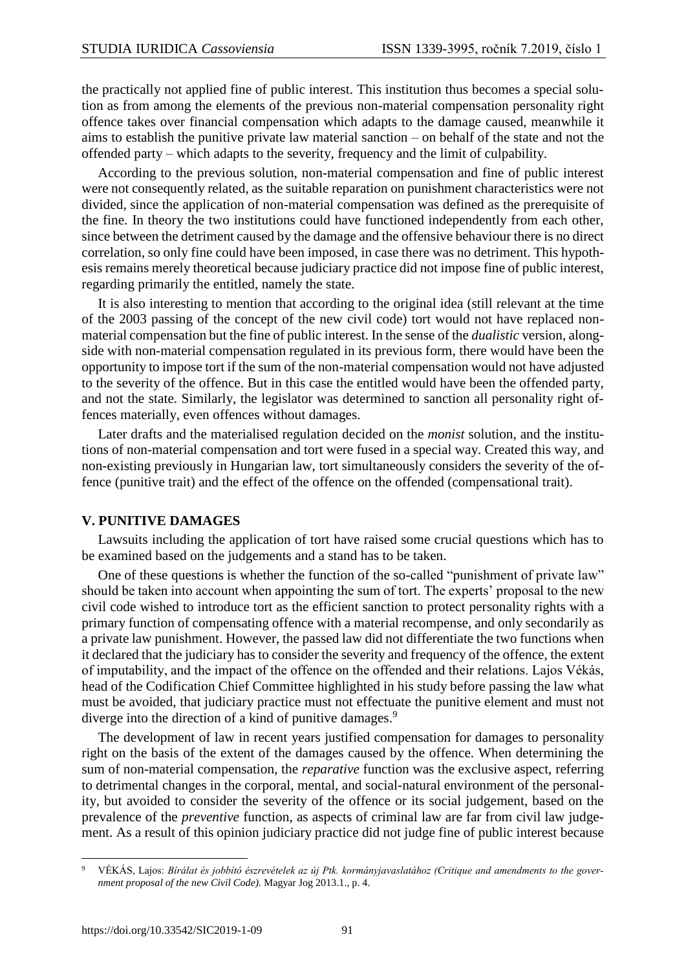the practically not applied fine of public interest. This institution thus becomes a special solution as from among the elements of the previous non-material compensation personality right offence takes over financial compensation which adapts to the damage caused, meanwhile it aims to establish the punitive private law material sanction – on behalf of the state and not the offended party – which adapts to the severity, frequency and the limit of culpability.

According to the previous solution, non-material compensation and fine of public interest were not consequently related, as the suitable reparation on punishment characteristics were not divided, since the application of non-material compensation was defined as the prerequisite of the fine. In theory the two institutions could have functioned independently from each other, since between the detriment caused by the damage and the offensive behaviour there is no direct correlation, so only fine could have been imposed, in case there was no detriment. This hypothesis remains merely theoretical because judiciary practice did not impose fine of public interest, regarding primarily the entitled, namely the state.

It is also interesting to mention that according to the original idea (still relevant at the time of the 2003 passing of the concept of the new civil code) tort would not have replaced nonmaterial compensation but the fine of public interest. In the sense of the *dualistic* version, alongside with non-material compensation regulated in its previous form, there would have been the opportunity to impose tort if the sum of the non-material compensation would not have adjusted to the severity of the offence. But in this case the entitled would have been the offended party, and not the state. Similarly, the legislator was determined to sanction all personality right offences materially, even offences without damages.

Later drafts and the materialised regulation decided on the *monist* solution, and the institutions of non-material compensation and tort were fused in a special way. Created this way, and non-existing previously in Hungarian law, tort simultaneously considers the severity of the offence (punitive trait) and the effect of the offence on the offended (compensational trait).

#### **V. PUNITIVE DAMAGES**

Lawsuits including the application of tort have raised some crucial questions which has to be examined based on the judgements and a stand has to be taken.

One of these questions is whether the function of the so-called "punishment of private law" should be taken into account when appointing the sum of tort. The experts' proposal to the new civil code wished to introduce tort as the efficient sanction to protect personality rights with a primary function of compensating offence with a material recompense, and only secondarily as a private law punishment. However, the passed law did not differentiate the two functions when it declared that the judiciary has to consider the severity and frequency of the offence, the extent of imputability, and the impact of the offence on the offended and their relations. Lajos Vékás, head of the Codification Chief Committee highlighted in his study before passing the law what must be avoided, that judiciary practice must not effectuate the punitive element and must not diverge into the direction of a kind of punitive damages.<sup>9</sup>

The development of law in recent years justified compensation for damages to personality right on the basis of the extent of the damages caused by the offence. When determining the sum of non-material compensation, the *reparative* function was the exclusive aspect, referring to detrimental changes in the corporal, mental, and social-natural environment of the personality, but avoided to consider the severity of the offence or its social judgement, based on the prevalence of the *preventive* function, as aspects of criminal law are far from civil law judgement. As a result of this opinion judiciary practice did not judge fine of public interest because

l <sup>9</sup> VÉKÁS, Lajos: *Bírálat és jobbító észrevételek az új Ptk. kormányjavaslatához (Critique and amendments to the government proposal of the new Civil Code).* Magyar Jog 2013.1., p. 4.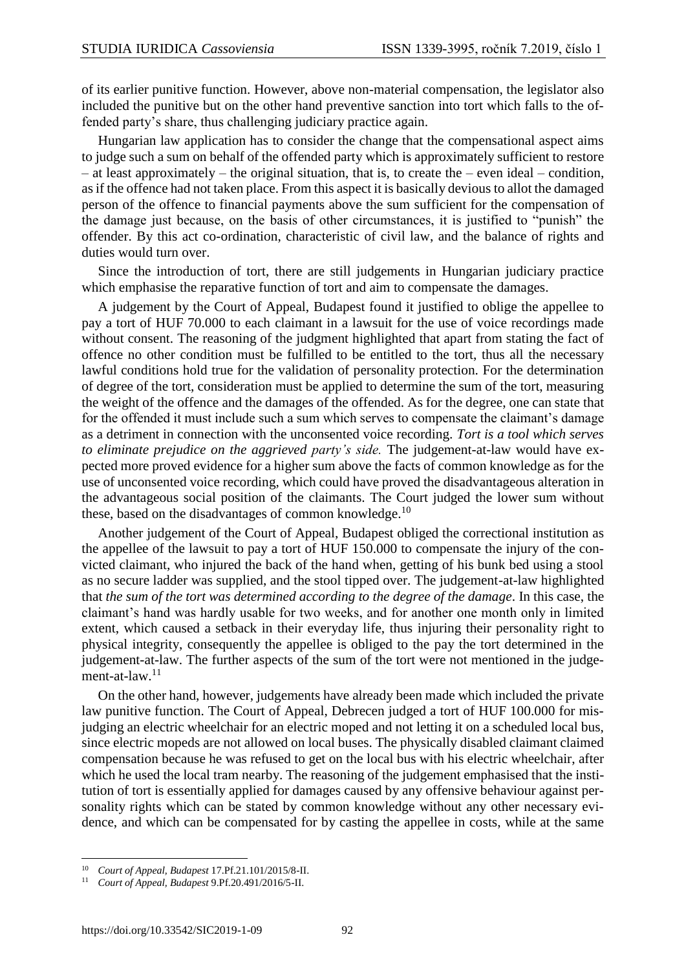of its earlier punitive function. However, above non-material compensation, the legislator also included the punitive but on the other hand preventive sanction into tort which falls to the offended party's share, thus challenging judiciary practice again.

Hungarian law application has to consider the change that the compensational aspect aims to judge such a sum on behalf of the offended party which is approximately sufficient to restore  $-$  at least approximately  $-$  the original situation, that is, to create the  $-$  even ideal  $-$  condition, as if the offence had not taken place. From this aspect it is basically devious to allot the damaged person of the offence to financial payments above the sum sufficient for the compensation of the damage just because, on the basis of other circumstances, it is justified to "punish" the offender. By this act co-ordination, characteristic of civil law, and the balance of rights and duties would turn over.

Since the introduction of tort, there are still judgements in Hungarian judiciary practice which emphasise the reparative function of tort and aim to compensate the damages.

A judgement by the Court of Appeal, Budapest found it justified to oblige the appellee to pay a tort of HUF 70.000 to each claimant in a lawsuit for the use of voice recordings made without consent. The reasoning of the judgment highlighted that apart from stating the fact of offence no other condition must be fulfilled to be entitled to the tort, thus all the necessary lawful conditions hold true for the validation of personality protection. For the determination of degree of the tort, consideration must be applied to determine the sum of the tort, measuring the weight of the offence and the damages of the offended. As for the degree, one can state that for the offended it must include such a sum which serves to compensate the claimant's damage as a detriment in connection with the unconsented voice recording. *Tort is a tool which serves to eliminate prejudice on the aggrieved party's side.* The judgement-at-law would have expected more proved evidence for a higher sum above the facts of common knowledge as for the use of unconsented voice recording, which could have proved the disadvantageous alteration in the advantageous social position of the claimants. The Court judged the lower sum without these, based on the disadvantages of common knowledge. $10$ 

Another judgement of the Court of Appeal, Budapest obliged the correctional institution as the appellee of the lawsuit to pay a tort of HUF 150.000 to compensate the injury of the convicted claimant, who injured the back of the hand when, getting of his bunk bed using a stool as no secure ladder was supplied, and the stool tipped over. The judgement-at-law highlighted that *the sum of the tort was determined according to the degree of the damage*. In this case, the claimant's hand was hardly usable for two weeks, and for another one month only in limited extent, which caused a setback in their everyday life, thus injuring their personality right to physical integrity, consequently the appellee is obliged to the pay the tort determined in the judgement-at-law. The further aspects of the sum of the tort were not mentioned in the judgement-at-law. $11$ 

On the other hand, however, judgements have already been made which included the private law punitive function. The Court of Appeal, Debrecen judged a tort of HUF 100.000 for misjudging an electric wheelchair for an electric moped and not letting it on a scheduled local bus, since electric mopeds are not allowed on local buses. The physically disabled claimant claimed compensation because he was refused to get on the local bus with his electric wheelchair, after which he used the local tram nearby. The reasoning of the judgement emphasised that the institution of tort is essentially applied for damages caused by any offensive behaviour against personality rights which can be stated by common knowledge without any other necessary evidence, and which can be compensated for by casting the appellee in costs, while at the same

l

<sup>10</sup> *Court of Appeal, Budapest* 17.Pf.21.101/2015/8-II.

<sup>11</sup> *Court of Appeal, Budapest* 9.Pf.20.491/2016/5-II.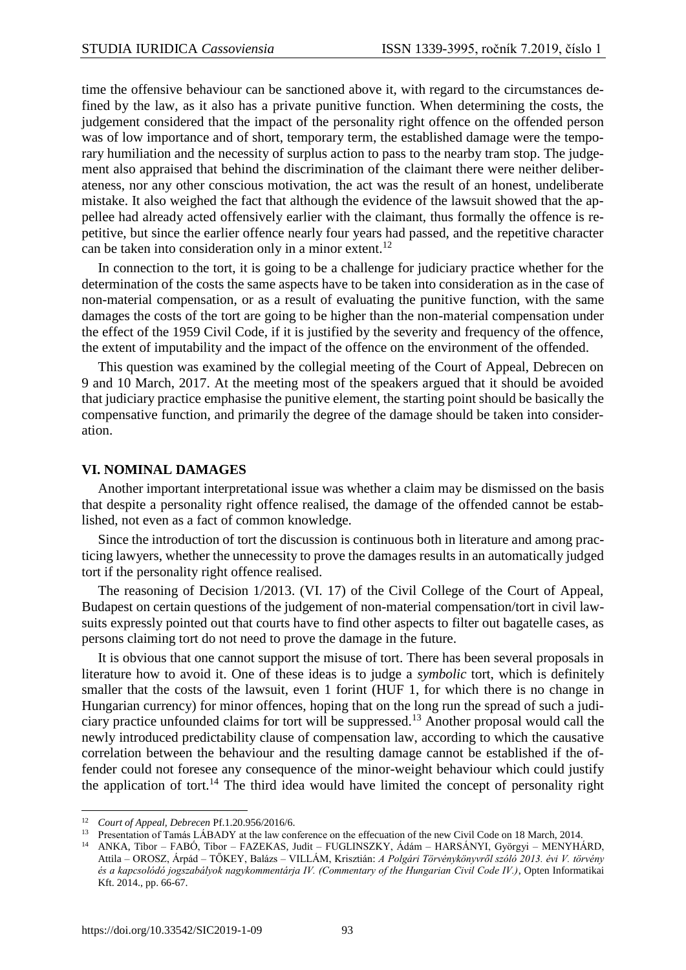time the offensive behaviour can be sanctioned above it, with regard to the circumstances defined by the law, as it also has a private punitive function. When determining the costs, the judgement considered that the impact of the personality right offence on the offended person was of low importance and of short, temporary term, the established damage were the temporary humiliation and the necessity of surplus action to pass to the nearby tram stop. The judgement also appraised that behind the discrimination of the claimant there were neither deliberateness, nor any other conscious motivation, the act was the result of an honest, undeliberate mistake. It also weighed the fact that although the evidence of the lawsuit showed that the appellee had already acted offensively earlier with the claimant, thus formally the offence is repetitive, but since the earlier offence nearly four years had passed, and the repetitive character can be taken into consideration only in a minor extent.<sup>12</sup>

In connection to the tort, it is going to be a challenge for judiciary practice whether for the determination of the costs the same aspects have to be taken into consideration as in the case of non-material compensation, or as a result of evaluating the punitive function, with the same damages the costs of the tort are going to be higher than the non-material compensation under the effect of the 1959 Civil Code, if it is justified by the severity and frequency of the offence, the extent of imputability and the impact of the offence on the environment of the offended.

This question was examined by the collegial meeting of the Court of Appeal, Debrecen on 9 and 10 March, 2017. At the meeting most of the speakers argued that it should be avoided that judiciary practice emphasise the punitive element, the starting point should be basically the compensative function, and primarily the degree of the damage should be taken into consideration.

#### **VI. NOMINAL DAMAGES**

Another important interpretational issue was whether a claim may be dismissed on the basis that despite a personality right offence realised, the damage of the offended cannot be established, not even as a fact of common knowledge.

Since the introduction of tort the discussion is continuous both in literature and among practicing lawyers, whether the unnecessity to prove the damages results in an automatically judged tort if the personality right offence realised.

The reasoning of Decision 1/2013. (VI. 17) of the Civil College of the Court of Appeal, Budapest on certain questions of the judgement of non-material compensation/tort in civil lawsuits expressly pointed out that courts have to find other aspects to filter out bagatelle cases, as persons claiming tort do not need to prove the damage in the future.

It is obvious that one cannot support the misuse of tort. There has been several proposals in literature how to avoid it. One of these ideas is to judge a *symbolic* tort, which is definitely smaller that the costs of the lawsuit, even 1 forint (HUF 1, for which there is no change in Hungarian currency) for minor offences, hoping that on the long run the spread of such a judiciary practice unfounded claims for tort will be suppressed.<sup>13</sup> Another proposal would call the newly introduced predictability clause of compensation law, according to which the causative correlation between the behaviour and the resulting damage cannot be established if the offender could not foresee any consequence of the minor-weight behaviour which could justify the application of tort.<sup>14</sup> The third idea would have limited the concept of personality right

<sup>12</sup> *Court of Appeal, Debrecen* Pf.1.20.956/2016/6.

<sup>13</sup> Presentation of Tamás LÁBADY at the law conference on the effecuation of the new Civil Code on 18 March, 2014.

<sup>14</sup> ANKA, Tibor – FABÓ, Tibor – FAZEKAS, Judit – FUGLINSZKY, Ádám – HARSÁNYI, Györgyi – MENYHÁRD, Attila – OROSZ, Árpád – TŐKEY, Balázs – VILLÁM, Krisztián: *A Polgári Törvénykönyvről szóló 2013. évi V. törvény és a kapcsolódó jogszabályok nagykommentárja IV. (Commentary of the Hungarian Civil Code IV.)*, Opten Informatikai Kft. 2014., pp. 66-67.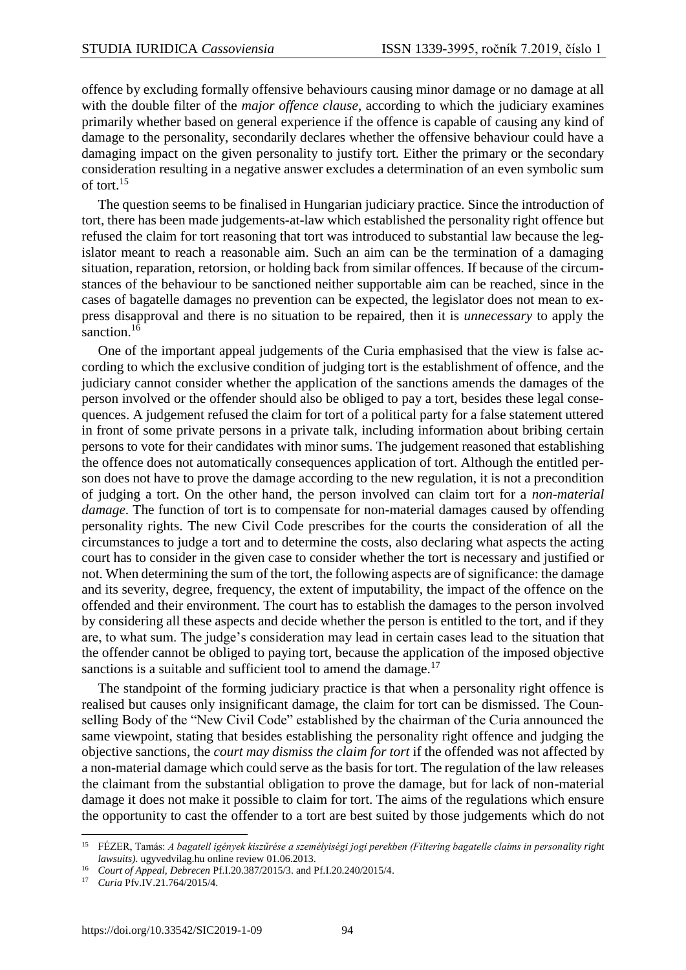offence by excluding formally offensive behaviours causing minor damage or no damage at all with the double filter of the *major offence clause*, according to which the judiciary examines primarily whether based on general experience if the offence is capable of causing any kind of damage to the personality, secondarily declares whether the offensive behaviour could have a damaging impact on the given personality to justify tort. Either the primary or the secondary consideration resulting in a negative answer excludes a determination of an even symbolic sum of tort.<sup>15</sup>

The question seems to be finalised in Hungarian judiciary practice. Since the introduction of tort, there has been made judgements-at-law which established the personality right offence but refused the claim for tort reasoning that tort was introduced to substantial law because the legislator meant to reach a reasonable aim. Such an aim can be the termination of a damaging situation, reparation, retorsion, or holding back from similar offences. If because of the circumstances of the behaviour to be sanctioned neither supportable aim can be reached, since in the cases of bagatelle damages no prevention can be expected, the legislator does not mean to express disapproval and there is no situation to be repaired, then it is *unnecessary* to apply the sanction.<sup>16</sup>

One of the important appeal judgements of the Curia emphasised that the view is false according to which the exclusive condition of judging tort is the establishment of offence, and the judiciary cannot consider whether the application of the sanctions amends the damages of the person involved or the offender should also be obliged to pay a tort, besides these legal consequences. A judgement refused the claim for tort of a political party for a false statement uttered in front of some private persons in a private talk, including information about bribing certain persons to vote for their candidates with minor sums. The judgement reasoned that establishing the offence does not automatically consequences application of tort. Although the entitled person does not have to prove the damage according to the new regulation, it is not a precondition of judging a tort. On the other hand, the person involved can claim tort for a *non-material damage*. The function of tort is to compensate for non-material damages caused by offending personality rights. The new Civil Code prescribes for the courts the consideration of all the circumstances to judge a tort and to determine the costs, also declaring what aspects the acting court has to consider in the given case to consider whether the tort is necessary and justified or not. When determining the sum of the tort, the following aspects are of significance: the damage and its severity, degree, frequency, the extent of imputability, the impact of the offence on the offended and their environment. The court has to establish the damages to the person involved by considering all these aspects and decide whether the person is entitled to the tort, and if they are, to what sum. The judge's consideration may lead in certain cases lead to the situation that the offender cannot be obliged to paying tort, because the application of the imposed objective sanctions is a suitable and sufficient tool to amend the damage.<sup>17</sup>

The standpoint of the forming judiciary practice is that when a personality right offence is realised but causes only insignificant damage, the claim for tort can be dismissed. The Counselling Body of the "New Civil Code" established by the chairman of the Curia announced the same viewpoint, stating that besides establishing the personality right offence and judging the objective sanctions, the *court may dismiss the claim for tort* if the offended was not affected by a non-material damage which could serve as the basis for tort. The regulation of the law releases the claimant from the substantial obligation to prove the damage, but for lack of non-material damage it does not make it possible to claim for tort. The aims of the regulations which ensure the opportunity to cast the offender to a tort are best suited by those judgements which do not

 $\overline{a}$ <sup>15</sup> FÉZER, Tamás: *A bagatell igények kiszűrése a személyiségi jogi perekben (Filtering bagatelle claims in personality right lawsuits).* ugyvedvilag.hu online review 01.06.2013.

<sup>16</sup> *Court of Appeal, Debrecen* Pf.I.20.387/2015/3. and Pf.I.20.240/2015/4.

<sup>17</sup> *Curia* Pfv.IV.21.764/2015/4.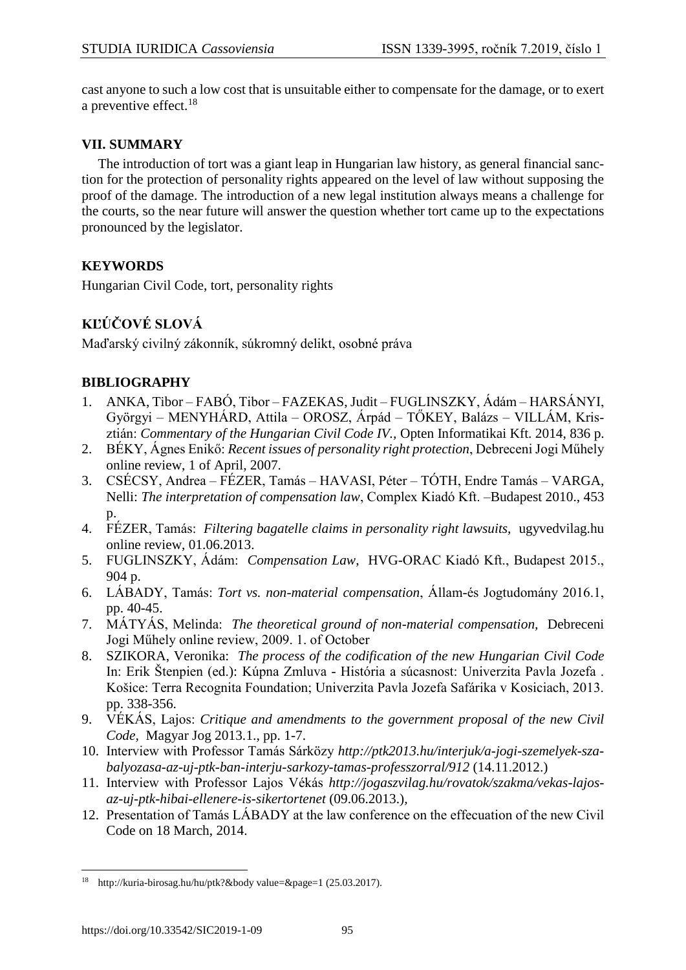cast anyone to such a low cost that is unsuitable either to compensate for the damage, or to exert a preventive effect. $^{18}$ 

#### **VII. SUMMARY**

The introduction of tort was a giant leap in Hungarian law history, as general financial sanction for the protection of personality rights appeared on the level of law without supposing the proof of the damage. The introduction of a new legal institution always means a challenge for the courts, so the near future will answer the question whether tort came up to the expectations pronounced by the legislator.

## **KEYWORDS**

Hungarian Civil Code, tort, personality rights

## **KĽÚČOVÉ SLOVÁ**

Maďarský civilný zákonník, súkromný delikt, osobné práva

#### **BIBLIOGRAPHY**

- 1. ANKA, Tibor FABÓ, Tibor FAZEKAS, Judit FUGLINSZKY, Ádám HARSÁNYI, Györgyi – MENYHÁRD, Attila – OROSZ, Árpád – TŐKEY, Balázs – VILLÁM, Krisztián: *Commentary of the Hungarian Civil Code IV.,* Opten Informatikai Kft. 2014, 836 p.
- 2. BÉKY, Ágnes Enikő: *Recent issues of personality right protection*, Debreceni Jogi Műhely online review, 1 of April, 2007.
- 3. CSÉCSY, Andrea FÉZER, Tamás HAVASI, Péter TÓTH, Endre Tamás VARGA, Nelli: *The interpretation of compensation law*, Complex Kiadó Kft. –Budapest 2010., 453 p.
- 4. FÉZER, Tamás: *Filtering bagatelle claims in personality right lawsuits,* ugyvedvilag.hu online review, 01.06.2013.
- 5. FUGLINSZKY, Ádám: *Compensation Law*, HVG-ORAC Kiadó Kft., Budapest 2015., 904 p.
- 6. LÁBADY, Tamás: *Tort vs. non-material compensation*, Állam-és Jogtudomány 2016.1, pp. 40-45.
- 7. MÁTYÁS, Melinda: *The theoretical ground of non-material compensation,* Debreceni Jogi Műhely online review, 2009. 1. of October
- 8. SZIKORA, Veronika: *The process of the codification of the new Hungarian Civil Code* In: Erik Štenpien (ed.): Kúpna Zmluva - História a súcasnost: Univerzita Pavla Jozefa . Košice: Terra Recognita Foundation; Univerzita Pavla Jozefa Safárika v Kosiciach, 2013. pp. 338-356.
- 9. VÉKÁS, Lajos: *Critique and amendments to the government proposal of the new Civil Code,* Magyar Jog 2013.1., pp. 1-7.
- 10. Interview with Professor Tamás Sárközy *[http://ptk2013.hu/interjuk/a-jogi-szemelyek-sza](http://ptk2013.hu/interjuk/a-jogi-szemelyek-szabalyozasa-az-uj-ptk-ban-interju-sarkozy-tamas-professzorral/912)[balyozasa-az-uj-ptk-ban-interju-sarkozy-tamas-professzorral/912](http://ptk2013.hu/interjuk/a-jogi-szemelyek-szabalyozasa-az-uj-ptk-ban-interju-sarkozy-tamas-professzorral/912)* (14.11.2012.)
- 11. Interview with Professor Lajos Vékás *[http://jogaszvilag.hu/rovatok/szakma/vekas-lajos](http://jogaszvilag.hu/rovatok/szakma/vekas-lajos-az-uj-ptk-hibai-ellenere-is-sikertortenet)[az-uj-ptk-hibai-ellenere-is-sikertortenet](http://jogaszvilag.hu/rovatok/szakma/vekas-lajos-az-uj-ptk-hibai-ellenere-is-sikertortenet)* (09.06.2013.)*,*
- 12. Presentation of Tamás LÁBADY at the law conference on the effecuation of the new Civil Code on 18 March, 2014.

<sup>18</sup> <http://kuria-birosag.hu/hu/ptk?&body> value=&page=1 (25.03.2017).